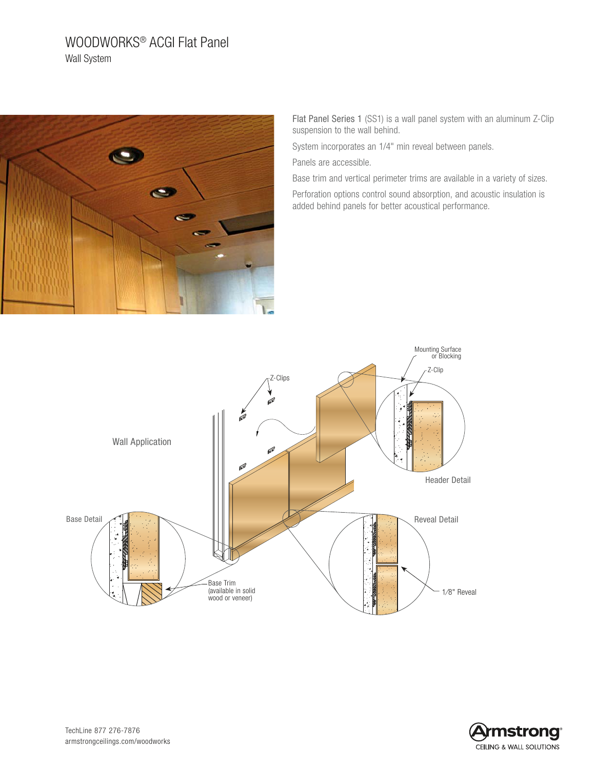# WOODWORKS® ACGI Flat Panel Wall System



Flat Panel Series 1 (SS1) is a wall panel system with an aluminum Z-Clip suspension to the wall behind.

System incorporates an 1/4" min reveal between panels. Panels are accessible.

Base trim and vertical perimeter trims are available in a variety of sizes. Perforation options control sound absorption, and acoustic insulation is

added behind panels for better acoustical performance.